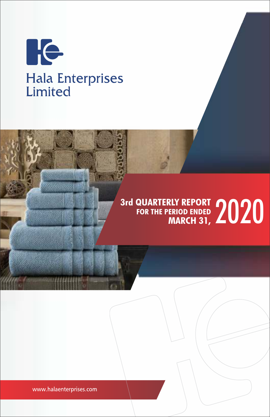

# 3rd QUARTERLY REPORT<br>FOR THE PERIOD ENDED **2020 FOR THE PERIOD ENDED MARCH 31,**

www.halaenterprises.com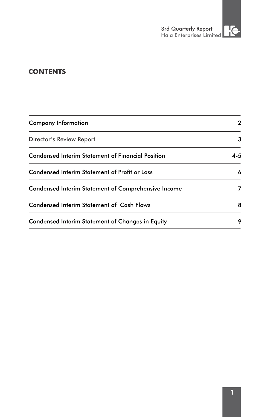# **CONTENTS**

| Company Information                                 | 2       |
|-----------------------------------------------------|---------|
| Director's Review Report                            | 3       |
| Condensed Interim Statement of Financial Position   | $4 - 5$ |
| Condensed Interim Statement of Profit or Loss       | 6       |
| Condensed Interim Statement of Comprehensive Income | 7       |
| Condensed Interim Statement of Cash Flows           | 8       |
| Condensed Interim Statement of Changes in Equity    | 9       |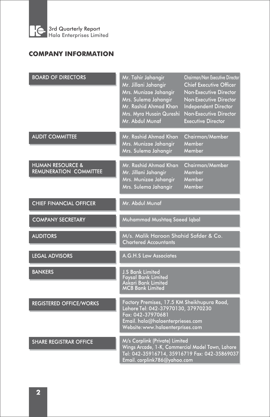

# **COMPANY INFORMATION**

| <b>BOARD OF DIRECTORS</b>                                    | Mr. Tahir Jahangir<br>Mr. Jillani Jahangir<br>Mrs. Munizae Jahangir<br>Mrs. Sulema Jahangir<br>Mr. Rashid Ahmad Khan<br>Mrs. Myra Husain Qureshi<br>Mr. Abdul Munaf            | Chairman/Non Executive Director<br><b>Chief Executive Officer</b><br>Non-Executive Director<br>Non-Executive Director<br>Independent Director<br>Non-Executive Director<br><b>Executive Director</b> |  |  |
|--------------------------------------------------------------|--------------------------------------------------------------------------------------------------------------------------------------------------------------------------------|------------------------------------------------------------------------------------------------------------------------------------------------------------------------------------------------------|--|--|
| <b>AUDIT COMMITTEE</b>                                       | Mr. Rashid Ahmad Khan<br>Mrs. Munizae Jahanair<br>Mrs. Sulema Jahangir                                                                                                         | Chairman/Member<br>Member<br>Member                                                                                                                                                                  |  |  |
| <b>HUMAN RESOURCE &amp;</b><br><b>REMUNERATION COMMITTEE</b> | Mr. Rashid Ahmad Khan<br>Mr. Jillani Jahangir<br>Mrs. Munizae Jahangir<br>Mrs. Sulema Jahangir                                                                                 | Chairman/Member<br>Member<br>Member<br>Member                                                                                                                                                        |  |  |
| <b>CHIEF FINANCIAL OFFICER</b>                               | Mr. Abdul Munaf                                                                                                                                                                |                                                                                                                                                                                                      |  |  |
| <b>COMPANY SECRETARY</b>                                     | Muhammad Mushtaq Saeed Iqbal                                                                                                                                                   |                                                                                                                                                                                                      |  |  |
| <b>AUDITORS</b>                                              | M/s. Malik Haroon Shahid Safder & Co.<br><b>Chartered Accountants</b>                                                                                                          |                                                                                                                                                                                                      |  |  |
| <b>LEGAL ADVISORS</b>                                        | A.G.H.S Law Associates                                                                                                                                                         |                                                                                                                                                                                                      |  |  |
| <b>BANKERS</b>                                               | <b>J.S Bank Limited</b><br><b>Faysal Bank Limited</b><br>Askari Bank Limited<br><b>MCB Bank Limited</b>                                                                        |                                                                                                                                                                                                      |  |  |
| <b>REGISTERED OFFICE/WORKS</b>                               | Factory Premises, 17.5 KM Sheikhupura Road,<br>Lahore Tel: 042-37970130, 37970230<br>Fax: 042-37970681<br>Email. hala@halaenterprieses.com<br>Website: www.halaenterprises.com |                                                                                                                                                                                                      |  |  |
| <b>SHARE REGISTRAR OFFICE</b>                                | M/s Corplink (Private) Limited<br>Wings Arcade, 1-K, Commercial Model Town, Lahore<br>Tel: 042-35916714, 35916719 Fax: 042-35869037<br>Email. corplink786@yahoo.com            |                                                                                                                                                                                                      |  |  |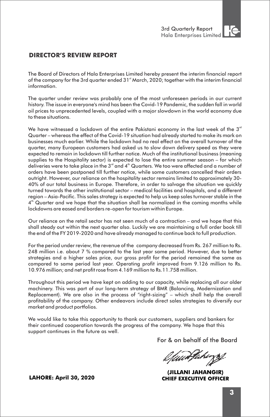

### **DIRECTOR'S REVIEW REPORT**

The Board of Directors of Hala Enterprises Limited hereby present the interim financial report of the company for the 3rd quarter ended 31<sup>st</sup> March, 2020; together with the interim financial information.

The quarter under review was probably one of the most unforeseen periods in our current history. The issue in everyone's mind has been the Covid-19 Pandemic, the sudden fall in world oil prices to unprecedented levels, coupled with a major slowdown in the world economy due to these situations.

We have witnessed a lockdown of the entire Pakistani economy in the last week of the  $3<sup>rd</sup>$ Quarter – whereas the effect of the Covid-19 situation had already started to make its mark on businesses much earlier. While the lockdown had no real effect on the overall turnover of the quarter, many European customers had asked us to slow down delivery speed as they were expected to remain in lockdown till further notice. Much of the institutional business (meaning supplies to the Hospitality sector) is expected to lose the entire summer season – for which deliveries were to take place in the  $3<sup>rd</sup>$  and  $4<sup>th</sup>$  Quarters. We too were affected and a number of orders have been postponed till further notice, while some customers cancelled their orders outright. However, our reliance on the hospitality sector remains limited to approximately 30- 40% of our total business in Europe. Therefore, in order to salvage the situation we quickly turned towards the other institutional sector – medical facilities and hospitals, and a different region – Asia-Pacific. This sales strategy is expected to help us keep sales turnover stable in the  $4<sup>th</sup>$  Quarter and we hope that the situation shall be normalized in the coming months while lockdowns are eased and borders re-open for tourism within Europe.

Our reliance on the retail sector has not seen much of a contraction – and we hope that this shall steady out within the next quarter also. Luckily we are maintaining a full order book till the end of the FY 2019-2020 and have already managed to continue back to full production.

For the period under review, the revenue of the company decreased from Rs. 267 million to Rs. 248 million i.e. about 7 % compared to the last year same period. However, due to better strategies and a higher sales price, our gross profit for the period remained the same as compared to same period last year. Operating profit improved from 9.126 million to Rs. 10.976 million; and net profit rose from 4.169 million to Rs.11.758 million.

Throughout this period we have kept on adding to our capacity, while replacing all our older machinery. This was part of our long-term strategy of BMR (Balancing, Modernization and Replacement). We are also in the process of "right-sizing" – which shall help the overall profitability of the company. Other endeavors include direct sales strategies to diversify our market and product portfolios.

We would like to take this opportunity to thank our customers, suppliers and bankers for their continued cooperation towards the progress of the company. We hope that this support continues in the future as well.

For & on behalf of the Board

efuunduhungg

(JILLANI JAHANGIR) **CHIEF EXECUTIVE OFFICER** 

**LAHORE: April 30, 2020**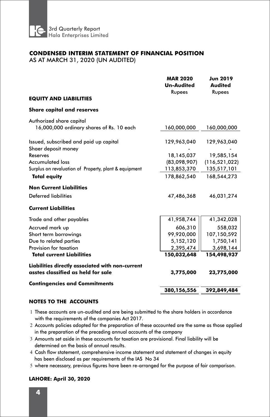

### **CONDENSED INTERIM STATEMENT OF FINANCIAL POSITION**

AS AT MARCH 31, 2020 (UN AUDITED)

|                                                       | <b>MAR 2020</b><br><b>Un-Audited</b><br>Rupees | <b>Jun 2019</b><br><b>Audited</b><br>Rupees |
|-------------------------------------------------------|------------------------------------------------|---------------------------------------------|
| <b>EQUITY AND LIABILITIES</b>                         |                                                |                                             |
| <b>Share capital and reserves</b>                     |                                                |                                             |
| Authorized share capital                              |                                                |                                             |
| 16,000,000 ordinary shares of Rs. 10 each             | 160,000,000                                    | 160,000,000                                 |
| Issued, subscribed and paid up capital                | 129,963,040                                    | 129,963,040                                 |
| Shaer deposit money                                   |                                                |                                             |
| Reserves                                              | 18.145.037                                     | 19,585,154                                  |
| <b>Accumulated loss</b>                               | (83,098,907)                                   | (116, 521, 022)                             |
| Surplus on revaluation of Property, plant & equipment | 113,853,370                                    | 135,517,101                                 |
| <b>Total equity</b>                                   | 178,862,540                                    | 168,544,273                                 |
| <b>Non Current Liabilities</b>                        |                                                |                                             |
| <b>Deferred liabilities</b>                           | 47,486,368                                     | 46,031,274                                  |
| <b>Current Liabilities</b>                            |                                                |                                             |
| Trade and other payables                              | 41,958,744                                     | 41,342,028                                  |
| Accrued mark up                                       | 606,310                                        | 558,032                                     |
| Short term borrowings                                 | 99,920,000                                     | 107,150,592                                 |
| Due to related parties                                | 5,152,120                                      | 1,750,141                                   |
| Provision for taxation                                | 2,395,474                                      | 3,698,144                                   |
| <b>Total current Liabilities</b>                      | 150,032,648                                    | 154,498,937                                 |
| Liabilities directly associated with non-current      |                                                |                                             |
| asstes classified as held for sale                    | 3,775,000                                      | 23,775,000                                  |
| <b>Contingencies and Commitments</b>                  |                                                |                                             |
|                                                       | 380,156,556                                    | 392,849,484                                 |

#### **NOTES TO THE ACCOUNTS**

- 1 These accounts are un-audited and are being submitted to the share holders in accordance with the requirements of the companies Act 2017.
- 2 Accounts policies adopted for the preparation of these accounted are the same as those applied in the preparation of the preceding annual accounts of the company
- 3 Amounts set aside in these accounts for taxation are provisional. Final liability will be determined on the basis of annual results.
- 4 Cash flow statement, comprehensive income statement and statement of changes in equity has been disclosed as per requirements of the IAS No 34
- 5 where necessary, previous figures have been re-arranged for the purpose of fair comparison.

#### **LAHORE: April 30, 2020**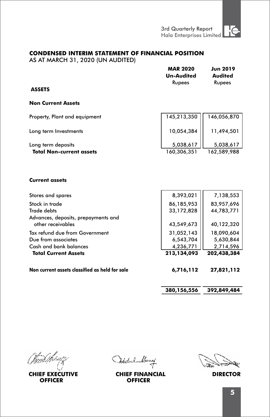#### **CONDENSED INTERIM STATEMENT OF FINANCIAL POSITION**

AS AT MARCH 31, 2020 (UN AUDITED)

|                                 | <b>MAR 2020</b><br><b>Un-Audited</b> | <b>Jun 2019</b><br>Audited |
|---------------------------------|--------------------------------------|----------------------------|
| <b>ASSETS</b>                   | Rupees                               | Rupees                     |
| <b>Non Current Assets</b>       |                                      |                            |
| Property, Plant and equipment   | 145,213,350                          | 146,056,870                |
| Long term Investments           | 10,054,384                           | 11,494,501                 |
| Long term deposits              | 5,038,617                            | 5,038,617                  |
| <b>Total Non-current assets</b> | 160,306,351                          | 162,589,988                |

#### **Current assets**

| Stores and spares                              | 8,393,021   | 7,138,553   |
|------------------------------------------------|-------------|-------------|
| Stock in trade                                 | 86,185,953  | 83,957,696  |
| Trade debts                                    | 33,172,828  | 44,783,771  |
| Advances, deposits, prepayments and            |             |             |
| other receivables                              | 43,549,673  | 40,122,320  |
| Tax refund due from Government                 | 31,052,143  | 18,090,604  |
| Due from associates                            | 6,543,704   | 5,630,844   |
| Cash and bank balances                         | 4,236,771   | 2,714,596   |
| <b>Total Current Assets</b>                    | 213,134,093 | 202,438,384 |
| Non current assets classified as held for sale | 6,716,112   | 27,821,112  |

**380,156,556 392,849,484**

l<br>mð Íhrupf

**CHIEF EXECUTIVE OFFICER**

Optichel Municip

**CHIEF FINANCIAL DIRECTOR OFFICER**

ديطة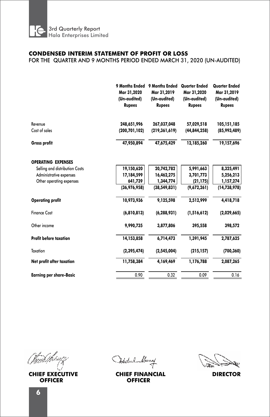

#### **CONDENSED INTERIM STATEMENT OF PROFIT OR LOSS**

FOR THE QUARTER AND 9 MONTHS PERIOD ENDED MARCH 31, 2020 (UN-AUDITED)

|                                | 9 Months Ended<br>Mar 31,2020<br>(Un-audited)<br><b>Rupees</b> | 9 Months Ended<br>Mar 31,2019<br>(Un-audited)<br><b>Rupees</b> | <b>Quarter Ended</b><br>Mar 31,2020<br>(Un-audited)<br><b>Rupees</b> | <b>Quarter Ended</b><br>Mar 31,2019<br>(Un-audited)<br><b>Rupees</b> |  |
|--------------------------------|----------------------------------------------------------------|----------------------------------------------------------------|----------------------------------------------------------------------|----------------------------------------------------------------------|--|
|                                |                                                                |                                                                |                                                                      |                                                                      |  |
| Revenue                        | 248,651,996                                                    | 267,037,048                                                    | 57,029,518                                                           | 105,151,185                                                          |  |
| Cost of sales                  | (200, 701, 102)                                                | (219, 361, 619)                                                | (44, 844, 258)                                                       | (85,993,489)                                                         |  |
| Gross profit                   | 47,950,894                                                     | 47,675,429                                                     | 12,185,260                                                           | 19,157,696                                                           |  |
| <b>OPERATING EXPENSES</b>      |                                                                |                                                                |                                                                      |                                                                      |  |
| Selling and distribution Costs | 19,150,620                                                     | 20,742,782                                                     | 5,991,663                                                            | 8,325,491                                                            |  |
| Administrative expenses        | 17,184,599                                                     | 16,462,275                                                     | 3,701,773                                                            | 5,256,213                                                            |  |
| Other operating expenses       | 641,739                                                        | 1,344,774                                                      | (21, 175)                                                            | 1,157,274                                                            |  |
|                                | (36,976,958)                                                   | (38, 549, 831)                                                 | (9,672,261)                                                          | (14, 738, 978)                                                       |  |
| <b>Operating profit</b>        | 10,973,936                                                     | 9,125,598                                                      | 2,512,999                                                            | 4,418,718                                                            |  |
| <b>Finance Cost</b>            | (6,810,813)                                                    | (6, 288, 931)                                                  | (1,516,612)                                                          | (2,029,665)                                                          |  |
| Other income                   | 9,990,735                                                      | 3,877,806                                                      | 395,558                                                              | 398,572                                                              |  |
| <b>Profit before taxation</b>  | 14,153,858                                                     | 6,714,473                                                      | 1,391,945                                                            | 2,787,625                                                            |  |
| Taxation                       | (2, 395, 474)                                                  | (2,545,004)                                                    | (215, 157)                                                           | (700, 360)                                                           |  |
| Net profit after taxation      | 11,758,384                                                     | 4,169,469                                                      | 1,176,788                                                            | 2,087,265                                                            |  |
| <b>Earning per share-Basic</b> | 0.90                                                           | 0.32                                                           | 0.09                                                                 | 0.16                                                                 |  |
|                                |                                                                |                                                                |                                                                      |                                                                      |  |

fundshirirgi

**CHIEF EXECUTIVE OFFICER**

Optichel Municip

**CHIEF FINANCIAL DIRECTOR OFFICER**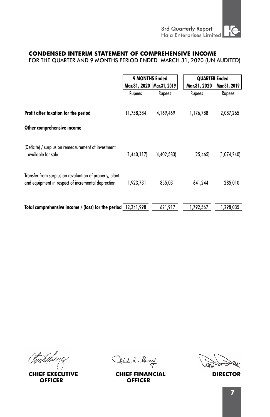#### **CONDENSED INTERIM STATEMENT OF COMPREHENSIVE INCOME**

FOR THE QUARTER AND 9 MONTHS PERIOD ENDED MARCH 31, 2020 (UN AUDITED)

|                                                                                                               | 9 MONTHS Ended              |             | <b>QUARTER Ended</b> |              |
|---------------------------------------------------------------------------------------------------------------|-----------------------------|-------------|----------------------|--------------|
|                                                                                                               | Mar.31, 2020   Mar.31, 2019 |             | Mar.31, 2020         | Mar.31, 2019 |
|                                                                                                               | Rupees                      | Rupees      | Rupees               | Rupees       |
| Profit after taxation for the period                                                                          | 11,758,384                  | 4,169,469   | 1,176,788            | 2,087,265    |
| Other comprehensive income                                                                                    |                             |             |                      |              |
| (Deficite) / surplus on remeasurement of investment<br>available for sale                                     | (1,440,117)                 | (4,402,583) | (25, 465)            | (1,074,240)  |
| Transfer from surplus on revaluation of property, plant<br>and equipment in respect of incremental deprection | 1,923,731                   | 855,031     | 641,244              | 285,010      |
| Total comprehensive income / (loss) for the period 12,241,998                                                 |                             | 621,917     | 1,792,567            | 1.298.035    |

fnst*hiveg* 

**CHIEF EXECUTIVE OFFICER**

Oktobel Muny

**CHIEF FINANCIAL DIRECTOR OFFICER**

٩٠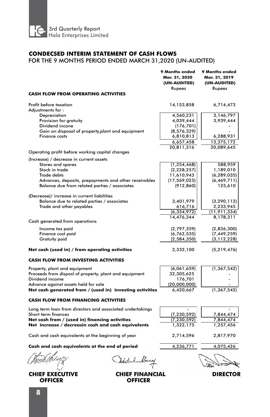

#### **CONDECSED INTERIM STATEMENT OF CASH FLOWS**

### FOR THE 9 MONTHS PERIOD ENDED MARCH 31,2020 (UN-AUDITED)

| <b>CASH FLOW FROM OPERATING ACTIVITIES</b>                | 9 Months ended<br>Mar. 31, 2020<br>(UN-AUDITED)<br>Rupees | 9 Months ended<br>Mar. 31, 2019<br>(UN-AUDITED)<br>Rupees |
|-----------------------------------------------------------|-----------------------------------------------------------|-----------------------------------------------------------|
|                                                           |                                                           |                                                           |
| Profit before taxation                                    | 14, 153, 858                                              | 6,714,473                                                 |
| Adiustments for :                                         |                                                           |                                                           |
| Depreciation                                              | 4,560,231                                                 | 3,146,797                                                 |
| Provision for gratuity<br>Dividend incone                 | 4,039,444                                                 | 3,939,444                                                 |
|                                                           | (176, 701)                                                |                                                           |
| Gain on disposal of property, plant and equipment         | (8, 576, 329)                                             |                                                           |
| <b>Finance costs</b>                                      | 6,810,813                                                 | 6,288,931                                                 |
|                                                           | 6,657,458                                                 | 13,375,172                                                |
|                                                           | 20,811,316                                                | 20,089,645                                                |
| Operating profit before working capital changes           |                                                           |                                                           |
| (Increase) / decrease in current assets                   |                                                           |                                                           |
| Stores and spares                                         | (1, 254, 468)                                             | 588,959                                                   |
| Stock in trade                                            | (2,228,257)                                               | 1,189,010                                                 |
| <b>Trade debts</b>                                        | 11,610,943                                                | (6, 289, 035)                                             |
| Advances, deposits, prepayments and other receivables     | (17, 569, 025)                                            | (6, 469, 711)                                             |
| Balance due from related parties / associates             | (912, 860)                                                | 125,610                                                   |
|                                                           |                                                           |                                                           |
| (Decrease)/ increase in current liabilities               |                                                           |                                                           |
| Balance due to related parties / associates               | 3,401,979                                                 | (3, 290, 112)                                             |
| Trade and other payables                                  | 616,716                                                   | 2,233,945                                                 |
|                                                           | (6, 334, 972)                                             | (11,911,334)                                              |
|                                                           | 14,476,344                                                | 8,178,311                                                 |
| Cash generated from operations                            |                                                           |                                                           |
| Income tax paid                                           | (2,797,359)                                               | (2,836,300)                                               |
| Finance cost paid                                         | (6,762,535)                                               | (7, 449, 259)                                             |
| <b>Gratuity paid</b>                                      | (2,584,350)                                               | (3, 112, 228)                                             |
|                                                           |                                                           |                                                           |
| Net cash (used in) / from operating activities            | 2,332,100                                                 | (5,219,476)                                               |
| <b>CASH FLOW FROM INVESTING ACTIVITIES</b>                |                                                           |                                                           |
| Property, plant and equipment                             | (6,061,659)                                               | (1, 367, 542)                                             |
| Proceeds from disposl of property, plant and equipment    | 32,305,625                                                |                                                           |
| Dividend income                                           | 176,701                                                   |                                                           |
| Advance against assets held for sale                      | (20,000,000)                                              |                                                           |
| Net cash generated from / (used in) investing activities  | 6,420,667                                                 | (1, 367, 542)                                             |
| <b>CASH FLOW FROM FINANCING ACTIVITIES</b>                |                                                           |                                                           |
|                                                           |                                                           |                                                           |
| Long term loan from directors and associated undertakings |                                                           |                                                           |
| Short term finances                                       | (7, 230, 592)                                             | 7,844,474                                                 |
| Net cash from / (used in) financing activities            | (7, 230, 592)                                             | 7,844,474                                                 |
| Net increase / decreasin cash and cash equivalents        | 1,522,175                                                 | 1,257,456                                                 |
| Cash and cash equivalents at the beginning of year        | 2,714,596                                                 | 2,817,970                                                 |
| Cash and cash equivalents at the end of period            | 4,236,771                                                 | 4,075,426                                                 |
|                                                           |                                                           |                                                           |
| Abeliel Muny                                              |                                                           |                                                           |

**CHIEF EXECUTIVE OFFICER**

÷. 7

¥.

ستهويهما فالمكام ĸ

**CHIEF FINANCIAL DIRECTOR OFFICER**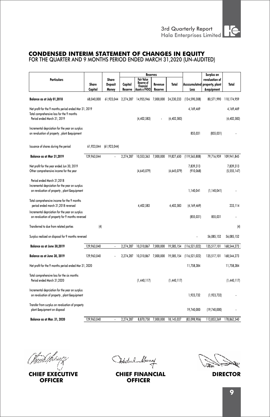

# **CONDENSED INTERIM STATEMENT OF CHANGES IN EQUITY**

FOR THE QUARTER AND 9 MONTHS PERIOD ENDED MARCH 31,2020 (UN-AUDITED)

|                                                                                                                                   |                  |                                  |                    | <b>Reserves</b>                                                |                    |               | Surplus on              |                                                            |                            |
|-----------------------------------------------------------------------------------------------------------------------------------|------------------|----------------------------------|--------------------|----------------------------------------------------------------|--------------------|---------------|-------------------------|------------------------------------------------------------|----------------------------|
| <b>Particulars</b>                                                                                                                | Share<br>Capital | Share<br><b>Deposit</b><br>Money | Capital<br>Reserve | Fair Value<br>Reserve of<br><b>Financial</b><br>Assets a FVOCI | Revenue<br>Reserve | Total         | Accccumulated<br>Loss   | revaluation of<br>property, plant<br><b>&amp;equipment</b> | Total                      |
| Balance as at July 01,2018                                                                                                        | 68,040,000       | 61.923.044                       |                    | 2,274,287 14,955,946 7,000,000                                 |                    | 24,230,233    | (124, 590, 308)         | 80,571,990                                                 | 110,174,959                |
| Net profit for the 9 months period ended Mar 31, 2019<br>Total comprehensive loss for the 9 months<br>Period ended March 31, 2019 |                  |                                  |                    | (4, 402, 583)                                                  |                    | (4, 402, 583) | 4,169,469               |                                                            | 4,169,469<br>(4, 402, 583) |
| Incremental deprciation for the year on surplus<br>on revaluation of property, plant &equipment                                   |                  |                                  |                    |                                                                |                    |               | 855,031                 | (855, 031)                                                 |                            |
| Issuance of shares during the period                                                                                              | 61,923,044       | (61, 923, 044)                   |                    |                                                                |                    |               |                         |                                                            |                            |
| Balance as at Mar 31,2019                                                                                                         | 129,963,044      |                                  | 2,274,287          | 10,553,363                                                     | 7,000,000          | 19,827,650    | (119, 565, 808)         | 79,716,959                                                 | 109,941,845                |
| Net profit for the year ended Jun 30, 2019<br>Other comprehensive income for the year                                             |                  |                                  |                    | (4,645,079)                                                    |                    | (4,645,079)   | 7,839,313<br>(910, 068) |                                                            | 7.839.313<br>(5,555,147)   |
| Period ended March 31,2018<br>Incremental deprciation for the year on surplus<br>on revaluation of property, plant &equipment     |                  |                                  |                    |                                                                |                    |               | 1,140,041               | (1, 140, 041)                                              |                            |
| Total comprehensive income for the 9 months<br>period ended march 31,2018 reversed                                                |                  |                                  |                    | 4,402,583                                                      |                    | 4,402,583     | (4,169,469)             |                                                            | 233,114                    |
| Incremental deprciation for the year on surplus<br>on revaluation of property for 9 months reversed                               |                  |                                  |                    |                                                                |                    |               | (855, 031)              | 855,031                                                    |                            |
| Transferred to due from related parties                                                                                           | (4)              |                                  |                    |                                                                |                    |               |                         |                                                            | (4)                        |
| Surplus realized on disposal for 9 months reversed                                                                                |                  |                                  |                    |                                                                |                    |               |                         | 56,085,152                                                 | 56,085,152                 |
| Balance as at June 30,2019                                                                                                        | 129.963.040      | $\ddot{\phantom{0}}$             | 2.274.287          | 10,310,867                                                     | 7.000.000          | 19.585.154    | (116, 521, 022)         | 135,517,101                                                | 168,544,273                |
| Balance as at June 30, 2019                                                                                                       | 129,963,040      |                                  | 2.274.287          | 10,310,867                                                     | 7.000.000          | 19,585,154    | (116, 521, 022)         | 135,517,101                                                | 168,544,273                |
| Net profit for the 9 months period ended Mar 31, 2020                                                                             |                  |                                  |                    |                                                                |                    |               | 11,758,384              |                                                            | 11,758,384                 |
| Total comprehensive loss for the six months<br>Period ended March 31,2020                                                         |                  |                                  |                    | (1,440,117)                                                    |                    | (1,440,117)   |                         |                                                            | (1,440,117)                |
| Incremental deprciation for the year on surplus<br>on revaluation of property, plant &equipment                                   |                  |                                  |                    |                                                                |                    |               | 1,923,732               | (1,923,732)                                                |                            |
| Transfer from surplus on revaluation of property<br>plant &equipment on disposal                                                  |                  |                                  |                    |                                                                |                    |               | 19,740,000              | (19,740,000)                                               |                            |
| Balance as at Mar. 31, 2020                                                                                                       | 129,963,040      |                                  | 2,274,287          | 8,870,750                                                      | 7,000,000          | 18,145,037    | (83,098,906)            | 113,853,369                                                | 178,862,540                |

landshirup j

**CHIEF EXECUTIVE OFFICER**

Oktobel Muny

**CHIEF FINANCIAL DIRECTOR OFFICER**

سيمط